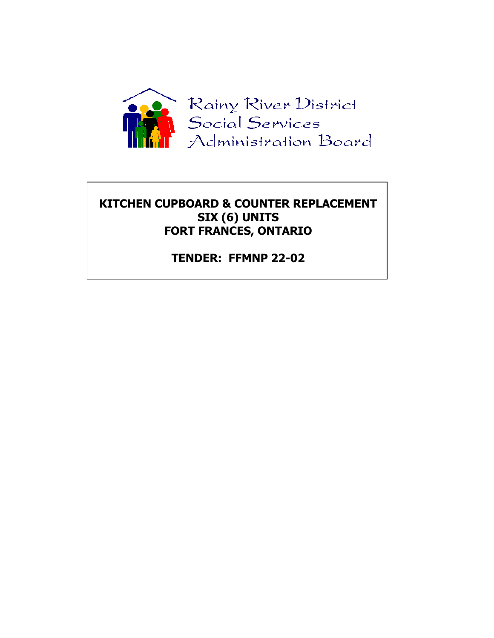

## **KITCHEN CUPBOARD & COUNTER REPLACEMENT SIX (6) UNITS FORT FRANCES, ONTARIO**

**TENDER: FFMNP 22-02**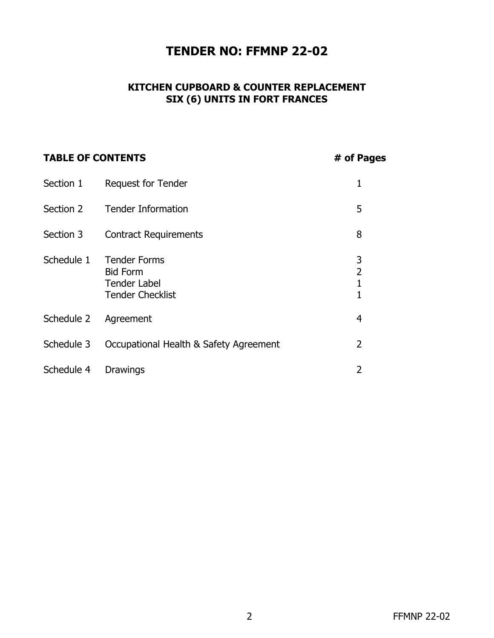## **TENDER NO: FFMNP 22-02**

### **KITCHEN CUPBOARD & COUNTER REPLACEMENT SIX (6) UNITS IN FORT FRANCES**

| <b>TABLE OF CONTENTS</b> | # of Pages                                                                               |                                          |
|--------------------------|------------------------------------------------------------------------------------------|------------------------------------------|
| Section 1                | <b>Request for Tender</b>                                                                | 1                                        |
| Section 2                | <b>Tender Information</b>                                                                | 5                                        |
| Section 3                | <b>Contract Requirements</b>                                                             | 8                                        |
| Schedule 1               | <b>Tender Forms</b><br><b>Bid Form</b><br><b>Tender Label</b><br><b>Tender Checklist</b> | 3<br>$\overline{2}$<br>$\mathbf{1}$<br>1 |
| Schedule 2               | Agreement                                                                                | 4                                        |
| Schedule 3               | Occupational Health & Safety Agreement                                                   | $\overline{2}$                           |
| Schedule 4               | <b>Drawings</b>                                                                          | $\overline{2}$                           |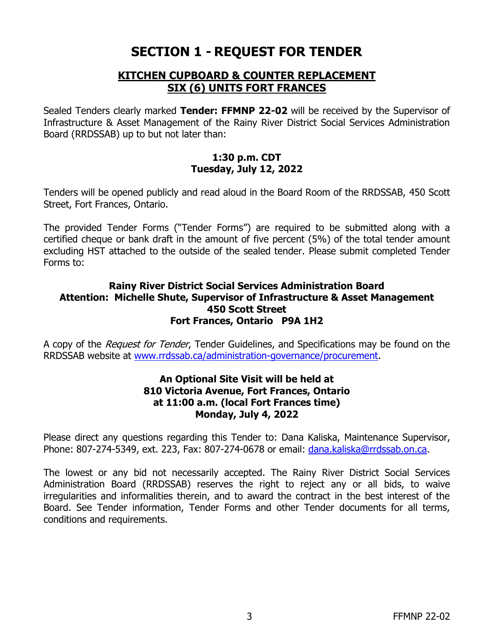# **SECTION 1 - REQUEST FOR TENDER**

### **KITCHEN CUPBOARD & COUNTER REPLACEMENT SIX (6) UNITS FORT FRANCES**

Sealed Tenders clearly marked **Tender: FFMNP 22-02** will be received by the Supervisor of Infrastructure & Asset Management of the Rainy River District Social Services Administration Board (RRDSSAB) up to but not later than:

#### **1:30 p.m. CDT Tuesday, July 12, 2022**

Tenders will be opened publicly and read aloud in the Board Room of the RRDSSAB, 450 Scott Street, Fort Frances, Ontario.

The provided Tender Forms ("Tender Forms") are required to be submitted along with a certified cheque or bank draft in the amount of five percent (5%) of the total tender amount excluding HST attached to the outside of the sealed tender. Please submit completed Tender Forms to:

#### **Rainy River District Social Services Administration Board Attention: Michelle Shute, Supervisor of Infrastructure & Asset Management 450 Scott Street Fort Frances, Ontario P9A 1H2**

A copy of the *Request for Tender*, Tender Guidelines, and Specifications may be found on the RRDSSAB website at [www.rrdssab.ca/](http://www.rrdssab.ca/)administration-governance/procurement.

#### **An Optional Site Visit will be held at 810 Victoria Avenue, Fort Frances, Ontario at 11:00 a.m. (local Fort Frances time) Monday, July 4, 2022**

Please direct any questions regarding this Tender to: Dana Kaliska, Maintenance Supervisor, Phone: 807-274-5349, ext. 223, Fax: 807-274-0678 or email: [dana.kaliska@rrdssab.on.ca.](mailto:dana.kaliska@rrdssab.on.ca)

The lowest or any bid not necessarily accepted. The Rainy River District Social Services Administration Board (RRDSSAB) reserves the right to reject any or all bids, to waive irregularities and informalities therein, and to award the contract in the best interest of the Board. See Tender information, Tender Forms and other Tender documents for all terms, conditions and requirements.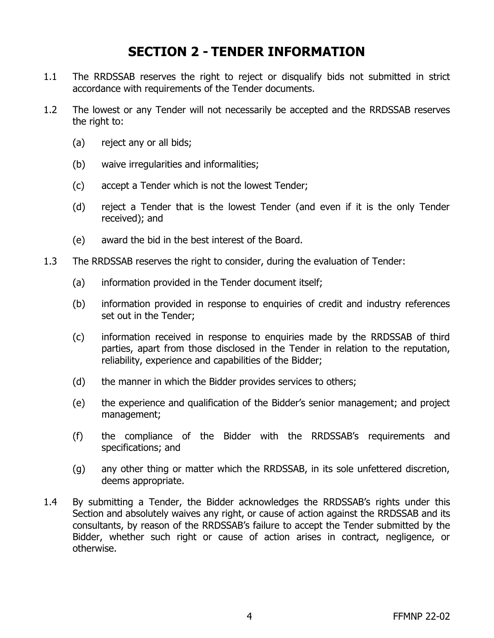# **SECTION 2 - TENDER INFORMATION**

- 1.1 The RRDSSAB reserves the right to reject or disqualify bids not submitted in strict accordance with requirements of the Tender documents.
- 1.2 The lowest or any Tender will not necessarily be accepted and the RRDSSAB reserves the right to:
	- (a) reject any or all bids;
	- (b) waive irregularities and informalities;
	- (c) accept a Tender which is not the lowest Tender;
	- (d) reject a Tender that is the lowest Tender (and even if it is the only Tender received); and
	- (e) award the bid in the best interest of the Board.
- 1.3 The RRDSSAB reserves the right to consider, during the evaluation of Tender:
	- (a) information provided in the Tender document itself;
	- (b) information provided in response to enquiries of credit and industry references set out in the Tender;
	- (c) information received in response to enquiries made by the RRDSSAB of third parties, apart from those disclosed in the Tender in relation to the reputation, reliability, experience and capabilities of the Bidder;
	- (d) the manner in which the Bidder provides services to others;
	- (e) the experience and qualification of the Bidder's senior management; and project management;
	- (f) the compliance of the Bidder with the RRDSSAB's requirements and specifications; and
	- (g) any other thing or matter which the RRDSSAB, in its sole unfettered discretion, deems appropriate.
- 1.4 By submitting a Tender, the Bidder acknowledges the RRDSSAB's rights under this Section and absolutely waives any right, or cause of action against the RRDSSAB and its consultants, by reason of the RRDSSAB's failure to accept the Tender submitted by the Bidder, whether such right or cause of action arises in contract, negligence, or otherwise.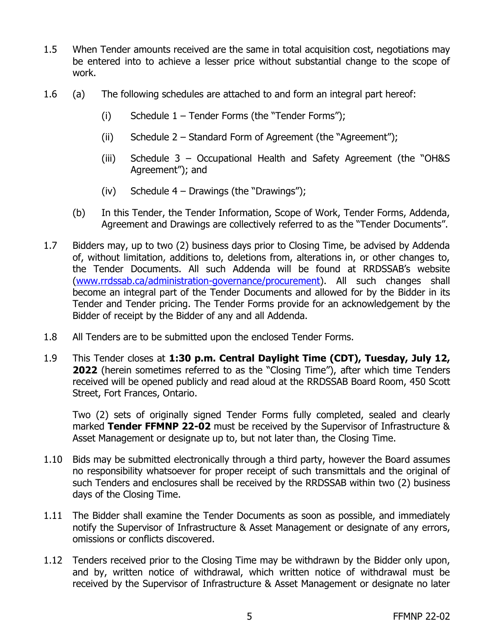- 1.5 When Tender amounts received are the same in total acquisition cost, negotiations may be entered into to achieve a lesser price without substantial change to the scope of work.
- 1.6 (a) The following schedules are attached to and form an integral part hereof:
	- (i) Schedule  $1 -$  Tender Forms (the "Tender Forms");
	- (ii) Schedule 2 Standard Form of Agreement (the "Agreement");
	- (iii) Schedule 3 Occupational Health and Safety Agreement (the "OH&S Agreement"); and
	- (iv) Schedule  $4 -$  Drawings (the "Drawings");
	- (b) In this Tender, the Tender Information, Scope of Work, Tender Forms, Addenda, Agreement and Drawings are collectively referred to as the "Tender Documents".
- 1.7 Bidders may, up to two (2) business days prior to Closing Time, be advised by Addenda of, without limitation, additions to, deletions from, alterations in, or other changes to, the Tender Documents. All such Addenda will be found at RRDSSAB's website [\(www.rrdssab.ca/administration-governance/procurement\)](http://www.rrdssab.ca/administration-governance/procurement). All such changes shall become an integral part of the Tender Documents and allowed for by the Bidder in its Tender and Tender pricing. The Tender Forms provide for an acknowledgement by the Bidder of receipt by the Bidder of any and all Addenda.
- 1.8 All Tenders are to be submitted upon the enclosed Tender Forms.
- 1.9 This Tender closes at **1:30 p.m. Central Daylight Time (CDT), Tuesday, July 12, 2022** (herein sometimes referred to as the "Closing Time"), after which time Tenders received will be opened publicly and read aloud at the RRDSSAB Board Room, 450 Scott Street, Fort Frances, Ontario.

Two (2) sets of originally signed Tender Forms fully completed, sealed and clearly marked **Tender FFMNP 22-02** must be received by the Supervisor of Infrastructure & Asset Management or designate up to, but not later than, the Closing Time.

- 1.10 Bids may be submitted electronically through a third party, however the Board assumes no responsibility whatsoever for proper receipt of such transmittals and the original of such Tenders and enclosures shall be received by the RRDSSAB within two (2) business days of the Closing Time.
- 1.11 The Bidder shall examine the Tender Documents as soon as possible, and immediately notify the Supervisor of Infrastructure & Asset Management or designate of any errors, omissions or conflicts discovered.
- 1.12 Tenders received prior to the Closing Time may be withdrawn by the Bidder only upon, and by, written notice of withdrawal, which written notice of withdrawal must be received by the Supervisor of Infrastructure & Asset Management or designate no later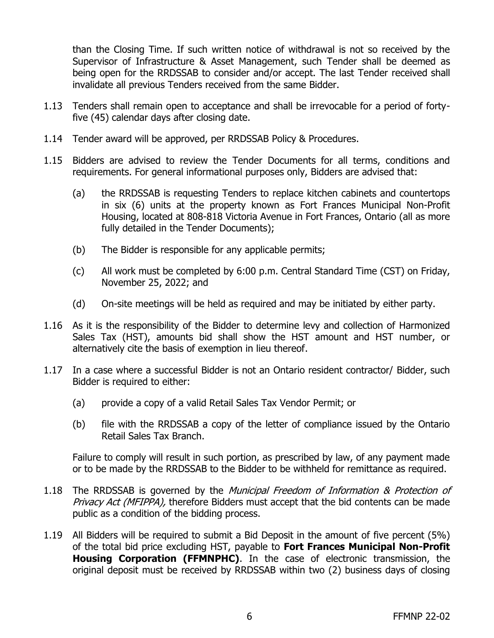than the Closing Time. If such written notice of withdrawal is not so received by the Supervisor of Infrastructure & Asset Management, such Tender shall be deemed as being open for the RRDSSAB to consider and/or accept. The last Tender received shall invalidate all previous Tenders received from the same Bidder.

- 1.13 Tenders shall remain open to acceptance and shall be irrevocable for a period of fortyfive (45) calendar days after closing date.
- 1.14 Tender award will be approved, per RRDSSAB Policy & Procedures.
- 1.15 Bidders are advised to review the Tender Documents for all terms, conditions and requirements. For general informational purposes only, Bidders are advised that:
	- (a) the RRDSSAB is requesting Tenders to replace kitchen cabinets and countertops in six (6) units at the property known as Fort Frances Municipal Non-Profit Housing, located at 808-818 Victoria Avenue in Fort Frances, Ontario (all as more fully detailed in the Tender Documents);
	- (b) The Bidder is responsible for any applicable permits;
	- (c) All work must be completed by 6:00 p.m. Central Standard Time (CST) on Friday, November 25, 2022; and
	- (d) On-site meetings will be held as required and may be initiated by either party.
- 1.16 As it is the responsibility of the Bidder to determine levy and collection of Harmonized Sales Tax (HST), amounts bid shall show the HST amount and HST number, or alternatively cite the basis of exemption in lieu thereof.
- 1.17 In a case where a successful Bidder is not an Ontario resident contractor/ Bidder, such Bidder is required to either:
	- (a) provide a copy of a valid Retail Sales Tax Vendor Permit; or
	- (b) file with the RRDSSAB a copy of the letter of compliance issued by the Ontario Retail Sales Tax Branch.

Failure to comply will result in such portion, as prescribed by law, of any payment made or to be made by the RRDSSAB to the Bidder to be withheld for remittance as required.

- 1.18 The RRDSSAB is governed by the Municipal Freedom of Information & Protection of Privacy Act (MFIPPA), therefore Bidders must accept that the bid contents can be made public as a condition of the bidding process.
- 1.19 All Bidders will be required to submit a Bid Deposit in the amount of five percent (5%) of the total bid price excluding HST, payable to **Fort Frances Municipal Non-Profit Housing Corporation (FFMNPHC)**. In the case of electronic transmission, the original deposit must be received by RRDSSAB within two (2) business days of closing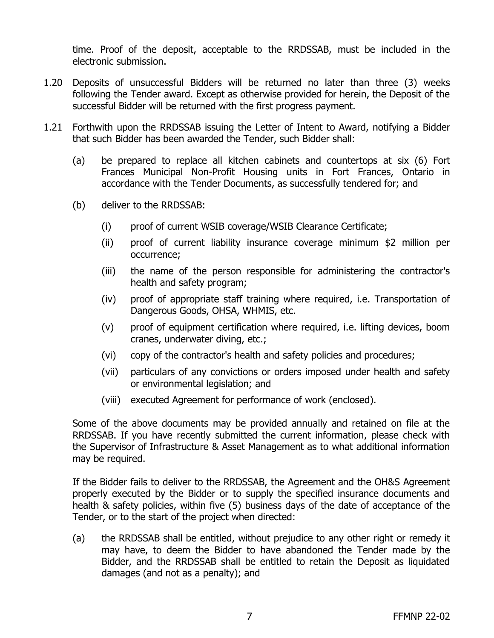time. Proof of the deposit, acceptable to the RRDSSAB, must be included in the electronic submission.

- 1.20 Deposits of unsuccessful Bidders will be returned no later than three (3) weeks following the Tender award. Except as otherwise provided for herein, the Deposit of the successful Bidder will be returned with the first progress payment.
- 1.21 Forthwith upon the RRDSSAB issuing the Letter of Intent to Award, notifying a Bidder that such Bidder has been awarded the Tender, such Bidder shall:
	- (a) be prepared to replace all kitchen cabinets and countertops at six (6) Fort Frances Municipal Non-Profit Housing units in Fort Frances, Ontario in accordance with the Tender Documents, as successfully tendered for; and
	- (b) deliver to the RRDSSAB:
		- (i) proof of current WSIB coverage/WSIB Clearance Certificate;
		- (ii) proof of current liability insurance coverage minimum \$2 million per occurrence;
		- (iii) the name of the person responsible for administering the contractor's health and safety program;
		- (iv) proof of appropriate staff training where required, i.e. Transportation of Dangerous Goods, OHSA, WHMIS, etc.
		- (v) proof of equipment certification where required, i.e. lifting devices, boom cranes, underwater diving, etc.;
		- (vi) copy of the contractor's health and safety policies and procedures;
		- (vii) particulars of any convictions or orders imposed under health and safety or environmental legislation; and
		- (viii) executed Agreement for performance of work (enclosed).

Some of the above documents may be provided annually and retained on file at the RRDSSAB. If you have recently submitted the current information, please check with the Supervisor of Infrastructure & Asset Management as to what additional information may be required.

If the Bidder fails to deliver to the RRDSSAB, the Agreement and the OH&S Agreement properly executed by the Bidder or to supply the specified insurance documents and health & safety policies, within five (5) business days of the date of acceptance of the Tender, or to the start of the project when directed:

(a) the RRDSSAB shall be entitled, without prejudice to any other right or remedy it may have, to deem the Bidder to have abandoned the Tender made by the Bidder, and the RRDSSAB shall be entitled to retain the Deposit as liquidated damages (and not as a penalty); and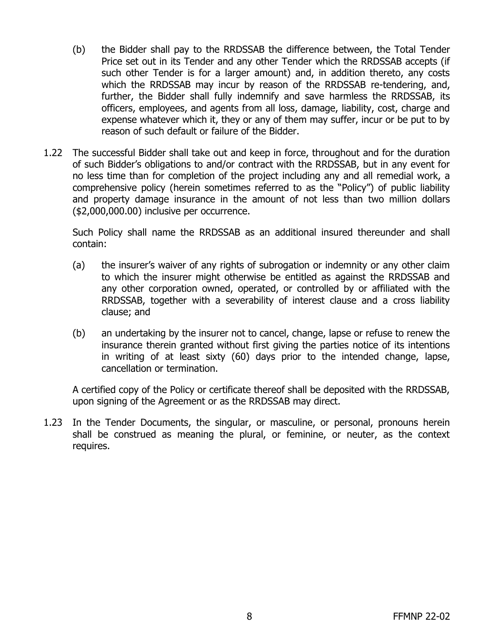- (b) the Bidder shall pay to the RRDSSAB the difference between, the Total Tender Price set out in its Tender and any other Tender which the RRDSSAB accepts (if such other Tender is for a larger amount) and, in addition thereto, any costs which the RRDSSAB may incur by reason of the RRDSSAB re-tendering, and, further, the Bidder shall fully indemnify and save harmless the RRDSSAB, its officers, employees, and agents from all loss, damage, liability, cost, charge and expense whatever which it, they or any of them may suffer, incur or be put to by reason of such default or failure of the Bidder.
- 1.22 The successful Bidder shall take out and keep in force, throughout and for the duration of such Bidder's obligations to and/or contract with the RRDSSAB, but in any event for no less time than for completion of the project including any and all remedial work, a comprehensive policy (herein sometimes referred to as the "Policy") of public liability and property damage insurance in the amount of not less than two million dollars (\$2,000,000.00) inclusive per occurrence.

Such Policy shall name the RRDSSAB as an additional insured thereunder and shall contain:

- (a) the insurer's waiver of any rights of subrogation or indemnity or any other claim to which the insurer might otherwise be entitled as against the RRDSSAB and any other corporation owned, operated, or controlled by or affiliated with the RRDSSAB, together with a severability of interest clause and a cross liability clause; and
- (b) an undertaking by the insurer not to cancel, change, lapse or refuse to renew the insurance therein granted without first giving the parties notice of its intentions in writing of at least sixty (60) days prior to the intended change, lapse, cancellation or termination.

A certified copy of the Policy or certificate thereof shall be deposited with the RRDSSAB, upon signing of the Agreement or as the RRDSSAB may direct.

1.23 In the Tender Documents, the singular, or masculine, or personal, pronouns herein shall be construed as meaning the plural, or feminine, or neuter, as the context requires.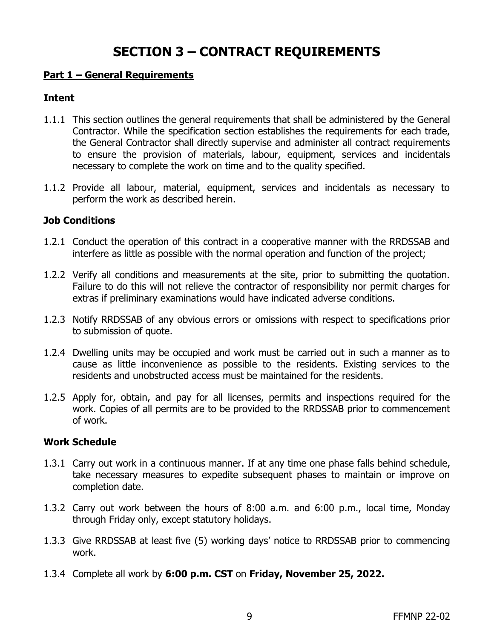# **SECTION 3 – CONTRACT REQUIREMENTS**

#### **Part 1 – General Requirements**

#### **Intent**

- 1.1.1 This section outlines the general requirements that shall be administered by the General Contractor. While the specification section establishes the requirements for each trade, the General Contractor shall directly supervise and administer all contract requirements to ensure the provision of materials, labour, equipment, services and incidentals necessary to complete the work on time and to the quality specified.
- 1.1.2 Provide all labour, material, equipment, services and incidentals as necessary to perform the work as described herein.

#### **Job Conditions**

- 1.2.1 Conduct the operation of this contract in a cooperative manner with the RRDSSAB and interfere as little as possible with the normal operation and function of the project;
- 1.2.2 Verify all conditions and measurements at the site, prior to submitting the quotation. Failure to do this will not relieve the contractor of responsibility nor permit charges for extras if preliminary examinations would have indicated adverse conditions.
- 1.2.3 Notify RRDSSAB of any obvious errors or omissions with respect to specifications prior to submission of quote.
- 1.2.4 Dwelling units may be occupied and work must be carried out in such a manner as to cause as little inconvenience as possible to the residents. Existing services to the residents and unobstructed access must be maintained for the residents.
- 1.2.5 Apply for, obtain, and pay for all licenses, permits and inspections required for the work. Copies of all permits are to be provided to the RRDSSAB prior to commencement of work.

#### **Work Schedule**

- 1.3.1 Carry out work in a continuous manner. If at any time one phase falls behind schedule, take necessary measures to expedite subsequent phases to maintain or improve on completion date.
- 1.3.2 Carry out work between the hours of 8:00 a.m. and 6:00 p.m., local time, Monday through Friday only, except statutory holidays.
- 1.3.3 Give RRDSSAB at least five (5) working days' notice to RRDSSAB prior to commencing work.
- 1.3.4 Complete all work by **6:00 p.m. CST** on **Friday, November 25, 2022.**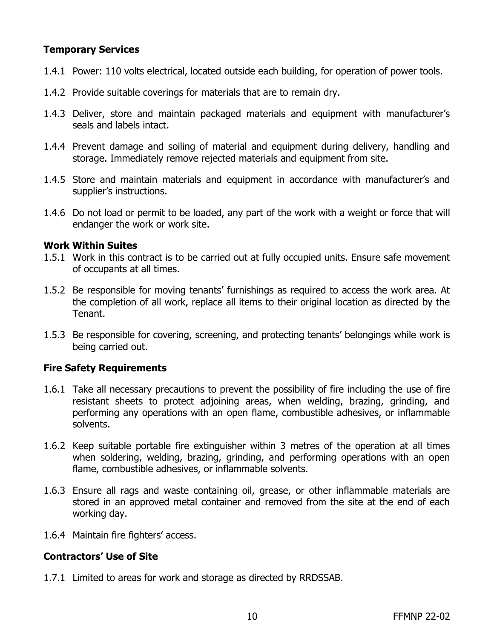### **Temporary Services**

- 1.4.1 Power: 110 volts electrical, located outside each building, for operation of power tools.
- 1.4.2 Provide suitable coverings for materials that are to remain dry.
- 1.4.3 Deliver, store and maintain packaged materials and equipment with manufacturer's seals and labels intact.
- 1.4.4 Prevent damage and soiling of material and equipment during delivery, handling and storage. Immediately remove rejected materials and equipment from site.
- 1.4.5 Store and maintain materials and equipment in accordance with manufacturer's and supplier's instructions.
- 1.4.6 Do not load or permit to be loaded, any part of the work with a weight or force that will endanger the work or work site.

#### **Work Within Suites**

- 1.5.1 Work in this contract is to be carried out at fully occupied units. Ensure safe movement of occupants at all times.
- 1.5.2 Be responsible for moving tenants' furnishings as required to access the work area. At the completion of all work, replace all items to their original location as directed by the Tenant.
- 1.5.3 Be responsible for covering, screening, and protecting tenants' belongings while work is being carried out.

#### **Fire Safety Requirements**

- 1.6.1 Take all necessary precautions to prevent the possibility of fire including the use of fire resistant sheets to protect adjoining areas, when welding, brazing, grinding, and performing any operations with an open flame, combustible adhesives, or inflammable solvents.
- 1.6.2 Keep suitable portable fire extinguisher within 3 metres of the operation at all times when soldering, welding, brazing, grinding, and performing operations with an open flame, combustible adhesives, or inflammable solvents.
- 1.6.3 Ensure all rags and waste containing oil, grease, or other inflammable materials are stored in an approved metal container and removed from the site at the end of each working day.
- 1.6.4 Maintain fire fighters' access.

#### **Contractors' Use of Site**

1.7.1 Limited to areas for work and storage as directed by RRDSSAB.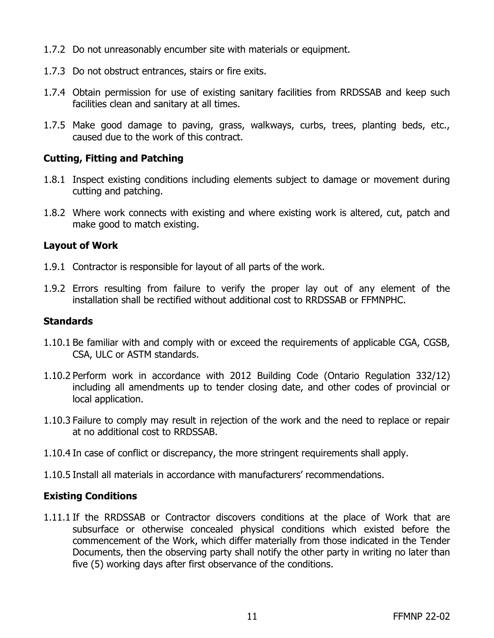- 1.7.2 Do not unreasonably encumber site with materials or equipment.
- 1.7.3 Do not obstruct entrances, stairs or fire exits.
- 1.7.4 Obtain permission for use of existing sanitary facilities from RRDSSAB and keep such facilities clean and sanitary at all times.
- 1.7.5 Make good damage to paving, grass, walkways, curbs, trees, planting beds, etc., caused due to the work of this contract.

#### **Cutting, Fitting and Patching**

- 1.8.1 Inspect existing conditions including elements subject to damage or movement during cutting and patching.
- 1.8.2 Where work connects with existing and where existing work is altered, cut, patch and make good to match existing.

#### **Layout of Work**

- 1.9.1 Contractor is responsible for layout of all parts of the work.
- 1.9.2 Errors resulting from failure to verify the proper lay out of any element of the installation shall be rectified without additional cost to RRDSSAB or FFMNPHC.

#### **Standards**

- 1.10.1 Be familiar with and comply with or exceed the requirements of applicable CGA, CGSB, CSA, ULC or ASTM standards.
- 1.10.2 Perform work in accordance with 2012 Building Code (Ontario Regulation 332/12) including all amendments up to tender closing date, and other codes of provincial or local application.
- 1.10.3 Failure to comply may result in rejection of the work and the need to replace or repair at no additional cost to RRDSSAB.
- 1.10.4 In case of conflict or discrepancy, the more stringent requirements shall apply.
- 1.10.5 Install all materials in accordance with manufacturers' recommendations.

#### **Existing Conditions**

1.11.1 If the RRDSSAB or Contractor discovers conditions at the place of Work that are subsurface or otherwise concealed physical conditions which existed before the commencement of the Work, which differ materially from those indicated in the Tender Documents, then the observing party shall notify the other party in writing no later than five (5) working days after first observance of the conditions.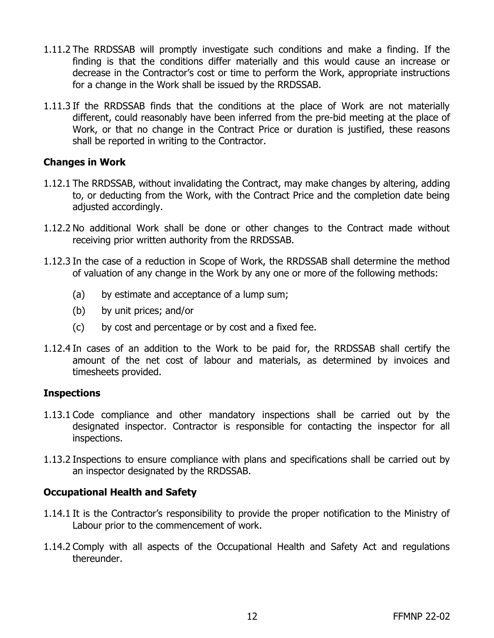- 1.11.2 The RRDSSAB will promptly investigate such conditions and make a finding. If the finding is that the conditions differ materially and this would cause an increase or decrease in the Contractor's cost or time to perform the Work, appropriate instructions for a change in the Work shall be issued by the RRDSSAB.
- 1.11.3 If the RRDSSAB finds that the conditions at the place of Work are not materially different, could reasonably have been inferred from the pre-bid meeting at the place of Work, or that no change in the Contract Price or duration is justified, these reasons shall be reported in writing to the Contractor.

#### **Changes in Work**

- 1.12.1 The RRDSSAB, without invalidating the Contract, may make changes by altering, adding to, or deducting from the Work, with the Contract Price and the completion date being adjusted accordingly.
- 1.12.2 No additional Work shall be done or other changes to the Contract made without receiving prior written authority from the RRDSSAB.
- 1.12.3 In the case of a reduction in Scope of Work, the RRDSSAB shall determine the method of valuation of any change in the Work by any one or more of the following methods:
	- (a) by estimate and acceptance of a lump sum;
	- (b) by unit prices; and/or
	- (c) by cost and percentage or by cost and a fixed fee.
- 1.12.4 In cases of an addition to the Work to be paid for, the RRDSSAB shall certify the amount of the net cost of labour and materials, as determined by invoices and timesheets provided.

#### **Inspections**

- 1.13.1 Code compliance and other mandatory inspections shall be carried out by the designated inspector. Contractor is responsible for contacting the inspector for all inspections.
- 1.13.2 Inspections to ensure compliance with plans and specifications shall be carried out by an inspector designated by the RRDSSAB.

#### **Occupational Health and Safety**

- 1.14.1 It is the Contractor's responsibility to provide the proper notification to the Ministry of Labour prior to the commencement of work.
- 1.14.2 Comply with all aspects of the Occupational Health and Safety Act and regulations thereunder.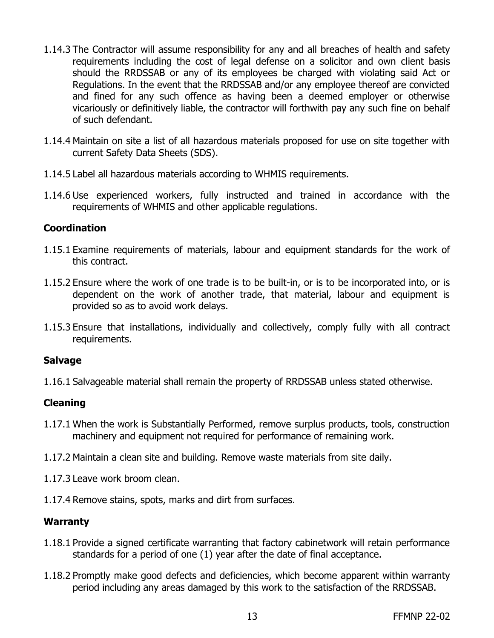- 1.14.3 The Contractor will assume responsibility for any and all breaches of health and safety requirements including the cost of legal defense on a solicitor and own client basis should the RRDSSAB or any of its employees be charged with violating said Act or Regulations. In the event that the RRDSSAB and/or any employee thereof are convicted and fined for any such offence as having been a deemed employer or otherwise vicariously or definitively liable, the contractor will forthwith pay any such fine on behalf of such defendant.
- 1.14.4 Maintain on site a list of all hazardous materials proposed for use on site together with current Safety Data Sheets (SDS).
- 1.14.5 Label all hazardous materials according to WHMIS requirements.
- 1.14.6 Use experienced workers, fully instructed and trained in accordance with the requirements of WHMIS and other applicable regulations.

#### **Coordination**

- 1.15.1 Examine requirements of materials, labour and equipment standards for the work of this contract.
- 1.15.2 Ensure where the work of one trade is to be built-in, or is to be incorporated into, or is dependent on the work of another trade, that material, labour and equipment is provided so as to avoid work delays.
- 1.15.3 Ensure that installations, individually and collectively, comply fully with all contract requirements.

#### **Salvage**

1.16.1 Salvageable material shall remain the property of RRDSSAB unless stated otherwise.

#### **Cleaning**

- 1.17.1 When the work is Substantially Performed, remove surplus products, tools, construction machinery and equipment not required for performance of remaining work.
- 1.17.2 Maintain a clean site and building. Remove waste materials from site daily.
- 1.17.3 Leave work broom clean.
- 1.17.4 Remove stains, spots, marks and dirt from surfaces.

#### **Warranty**

- 1.18.1 Provide a signed certificate warranting that factory cabinetwork will retain performance standards for a period of one (1) year after the date of final acceptance.
- 1.18.2 Promptly make good defects and deficiencies, which become apparent within warranty period including any areas damaged by this work to the satisfaction of the RRDSSAB.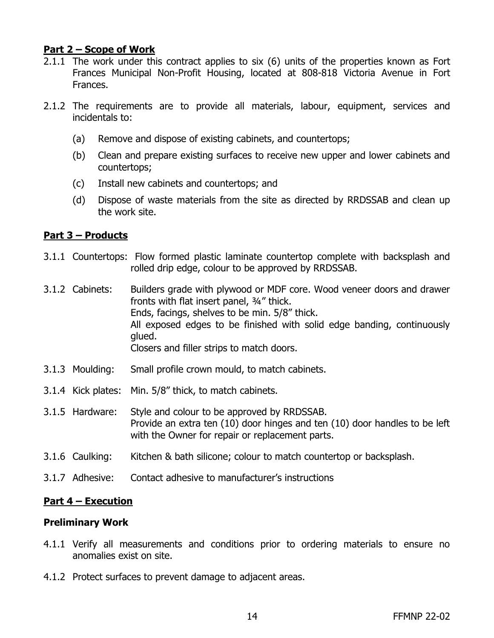#### **Part 2 – Scope of Work**

- 2.1.1 The work under this contract applies to six (6) units of the properties known as Fort Frances Municipal Non-Profit Housing, located at 808-818 Victoria Avenue in Fort Frances.
- 2.1.2 The requirements are to provide all materials, labour, equipment, services and incidentals to:
	- (a) Remove and dispose of existing cabinets, and countertops;
	- (b) Clean and prepare existing surfaces to receive new upper and lower cabinets and countertops;
	- (c) Install new cabinets and countertops; and
	- (d) Dispose of waste materials from the site as directed by RRDSSAB and clean up the work site.

#### **Part 3 – Products**

- 3.1.1 Countertops: Flow formed plastic laminate countertop complete with backsplash and rolled drip edge, colour to be approved by RRDSSAB.
- 3.1.2 Cabinets: Builders grade with plywood or MDF core. Wood veneer doors and drawer fronts with flat insert panel, ¾" thick. Ends, facings, shelves to be min. 5/8" thick. All exposed edges to be finished with solid edge banding, continuously glued. Closers and filler strips to match doors.
- 3.1.3 Moulding: Small profile crown mould, to match cabinets.
- 3.1.4 Kick plates: Min. 5/8" thick, to match cabinets.
- 3.1.5 Hardware: Style and colour to be approved by RRDSSAB. Provide an extra ten (10) door hinges and ten (10) door handles to be left with the Owner for repair or replacement parts.
- 3.1.6 Caulking: Kitchen & bath silicone; colour to match countertop or backsplash.
- 3.1.7 Adhesive: Contact adhesive to manufacturer's instructions

#### **Part 4 – Execution**

#### **Preliminary Work**

- 4.1.1 Verify all measurements and conditions prior to ordering materials to ensure no anomalies exist on site.
- 4.1.2 Protect surfaces to prevent damage to adjacent areas.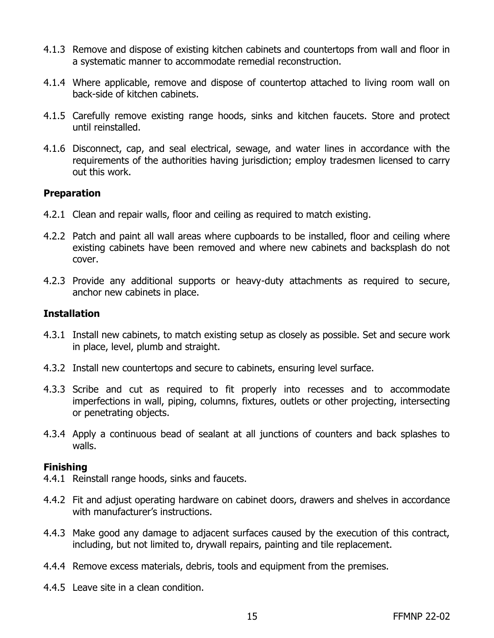- 4.1.3 Remove and dispose of existing kitchen cabinets and countertops from wall and floor in a systematic manner to accommodate remedial reconstruction.
- 4.1.4 Where applicable, remove and dispose of countertop attached to living room wall on back-side of kitchen cabinets.
- 4.1.5 Carefully remove existing range hoods, sinks and kitchen faucets. Store and protect until reinstalled.
- 4.1.6 Disconnect, cap, and seal electrical, sewage, and water lines in accordance with the requirements of the authorities having jurisdiction; employ tradesmen licensed to carry out this work.

#### **Preparation**

- 4.2.1 Clean and repair walls, floor and ceiling as required to match existing.
- 4.2.2 Patch and paint all wall areas where cupboards to be installed, floor and ceiling where existing cabinets have been removed and where new cabinets and backsplash do not cover.
- 4.2.3 Provide any additional supports or heavy-duty attachments as required to secure, anchor new cabinets in place.

#### **Installation**

- 4.3.1 Install new cabinets, to match existing setup as closely as possible. Set and secure work in place, level, plumb and straight.
- 4.3.2 Install new countertops and secure to cabinets, ensuring level surface.
- 4.3.3 Scribe and cut as required to fit properly into recesses and to accommodate imperfections in wall, piping, columns, fixtures, outlets or other projecting, intersecting or penetrating objects.
- 4.3.4 Apply a continuous bead of sealant at all junctions of counters and back splashes to walls.

#### **Finishing**

- 4.4.1 Reinstall range hoods, sinks and faucets.
- 4.4.2 Fit and adjust operating hardware on cabinet doors, drawers and shelves in accordance with manufacturer's instructions.
- 4.4.3 Make good any damage to adjacent surfaces caused by the execution of this contract, including, but not limited to, drywall repairs, painting and tile replacement.
- 4.4.4 Remove excess materials, debris, tools and equipment from the premises.
- 4.4.5 Leave site in a clean condition.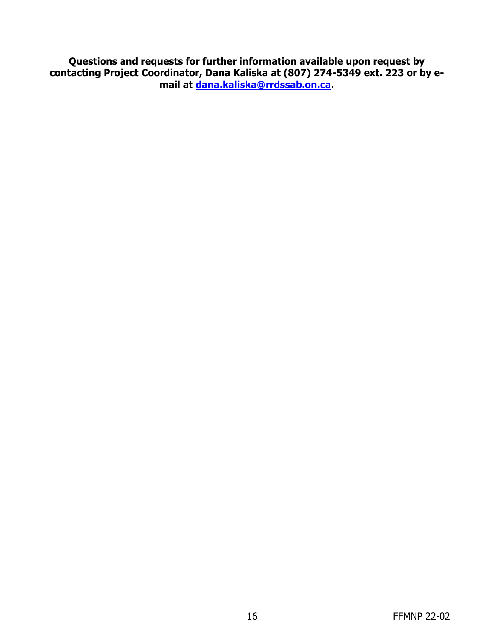**Questions and requests for further information available upon request by contacting Project Coordinator, Dana Kaliska at (807) 274-5349 ext. 223 or by email at [dana.kaliska@rrdssab.on.ca.](mailto:dana.kaliska@rrdssab.on.ca)**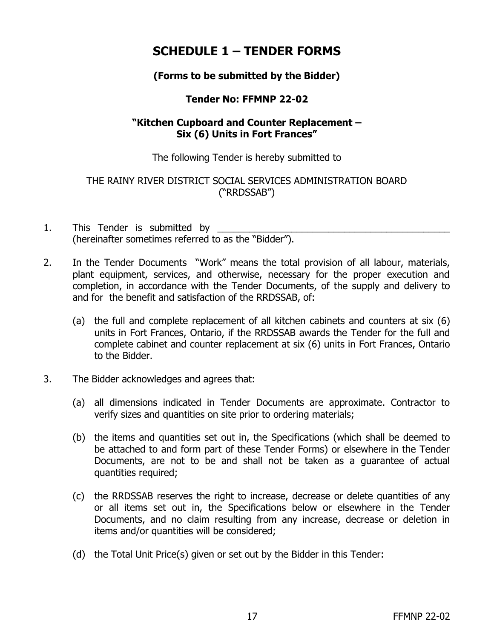## **SCHEDULE 1 – TENDER FORMS**

### **(Forms to be submitted by the Bidder)**

### **Tender No: FFMNP 22-02**

#### **"Kitchen Cupboard and Counter Replacement – Six (6) Units in Fort Frances"**

The following Tender is hereby submitted to

THE RAINY RIVER DISTRICT SOCIAL SERVICES ADMINISTRATION BOARD ("RRDSSAB")

- 1. This Tender is submitted by (hereinafter sometimes referred to as the "Bidder").
- 2. In the Tender Documents "Work" means the total provision of all labour, materials, plant equipment, services, and otherwise, necessary for the proper execution and completion, in accordance with the Tender Documents, of the supply and delivery to and for the benefit and satisfaction of the RRDSSAB, of:
	- (a) the full and complete replacement of all kitchen cabinets and counters at six (6) units in Fort Frances, Ontario, if the RRDSSAB awards the Tender for the full and complete cabinet and counter replacement at six (6) units in Fort Frances, Ontario to the Bidder.
- 3. The Bidder acknowledges and agrees that:
	- (a) all dimensions indicated in Tender Documents are approximate. Contractor to verify sizes and quantities on site prior to ordering materials;
	- (b) the items and quantities set out in, the Specifications (which shall be deemed to be attached to and form part of these Tender Forms) or elsewhere in the Tender Documents, are not to be and shall not be taken as a guarantee of actual quantities required;
	- (c) the RRDSSAB reserves the right to increase, decrease or delete quantities of any or all items set out in, the Specifications below or elsewhere in the Tender Documents, and no claim resulting from any increase, decrease or deletion in items and/or quantities will be considered;
	- (d) the Total Unit Price(s) given or set out by the Bidder in this Tender: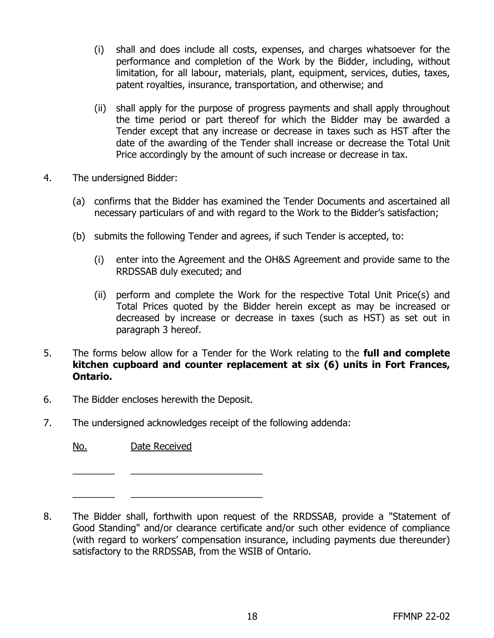- (i) shall and does include all costs, expenses, and charges whatsoever for the performance and completion of the Work by the Bidder, including, without limitation, for all labour, materials, plant, equipment, services, duties, taxes, patent royalties, insurance, transportation, and otherwise; and
- (ii) shall apply for the purpose of progress payments and shall apply throughout the time period or part thereof for which the Bidder may be awarded a Tender except that any increase or decrease in taxes such as HST after the date of the awarding of the Tender shall increase or decrease the Total Unit Price accordingly by the amount of such increase or decrease in tax.
- 4. The undersigned Bidder:
	- (a) confirms that the Bidder has examined the Tender Documents and ascertained all necessary particulars of and with regard to the Work to the Bidder's satisfaction;
	- (b) submits the following Tender and agrees, if such Tender is accepted, to:
		- (i) enter into the Agreement and the OH&S Agreement and provide same to the RRDSSAB duly executed; and
		- (ii) perform and complete the Work for the respective Total Unit Price(s) and Total Prices quoted by the Bidder herein except as may be increased or decreased by increase or decrease in taxes (such as HST) as set out in paragraph 3 hereof.
- 5. The forms below allow for a Tender for the Work relating to the **full and complete kitchen cupboard and counter replacement at six (6) units in Fort Frances, Ontario.**
- 6. The Bidder encloses herewith the Deposit.
- 7. The undersigned acknowledges receipt of the following addenda:

No. Date Received

 $\frac{1}{2}$  ,  $\frac{1}{2}$  ,  $\frac{1}{2}$  ,  $\frac{1}{2}$  ,  $\frac{1}{2}$  ,  $\frac{1}{2}$  ,  $\frac{1}{2}$  ,  $\frac{1}{2}$  ,  $\frac{1}{2}$  ,  $\frac{1}{2}$  ,  $\frac{1}{2}$  ,  $\frac{1}{2}$  ,  $\frac{1}{2}$  ,  $\frac{1}{2}$  ,  $\frac{1}{2}$  ,  $\frac{1}{2}$  ,  $\frac{1}{2}$  ,  $\frac{1}{2}$  ,  $\frac{1$  $\frac{1}{2}$  ,  $\frac{1}{2}$  ,  $\frac{1}{2}$  ,  $\frac{1}{2}$  ,  $\frac{1}{2}$  ,  $\frac{1}{2}$  ,  $\frac{1}{2}$  ,  $\frac{1}{2}$  ,  $\frac{1}{2}$  ,  $\frac{1}{2}$  ,  $\frac{1}{2}$  ,  $\frac{1}{2}$  ,  $\frac{1}{2}$  ,  $\frac{1}{2}$  ,  $\frac{1}{2}$  ,  $\frac{1}{2}$  ,  $\frac{1}{2}$  ,  $\frac{1}{2}$  ,  $\frac{1$ 

8. The Bidder shall, forthwith upon request of the RRDSSAB, provide a "Statement of Good Standing" and/or clearance certificate and/or such other evidence of compliance (with regard to workers' compensation insurance, including payments due thereunder) satisfactory to the RRDSSAB, from the WSIB of Ontario.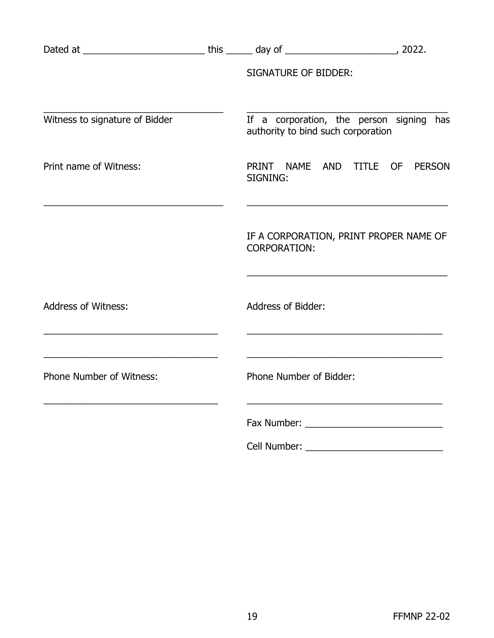|                                                                                                                              | <b>SIGNATURE OF BIDDER:</b>                                                                                                                                |               |
|------------------------------------------------------------------------------------------------------------------------------|------------------------------------------------------------------------------------------------------------------------------------------------------------|---------------|
| Witness to signature of Bidder                                                                                               | If a corporation, the person signing has<br>authority to bind such corporation                                                                             |               |
| Print name of Witness:                                                                                                       | PRINT NAME AND TITLE OF<br>SIGNING:                                                                                                                        | <b>PERSON</b> |
|                                                                                                                              | the control of the control of the control of the control of the control of the control of<br>IF A CORPORATION, PRINT PROPER NAME OF<br><b>CORPORATION:</b> |               |
| <b>Address of Witness:</b>                                                                                                   | <b>Address of Bidder:</b>                                                                                                                                  |               |
| the control of the control of the control of the control of the control of the control of<br><b>Phone Number of Witness:</b> | Phone Number of Bidder:                                                                                                                                    |               |
|                                                                                                                              |                                                                                                                                                            |               |
|                                                                                                                              | Cell Number:                                                                                                                                               |               |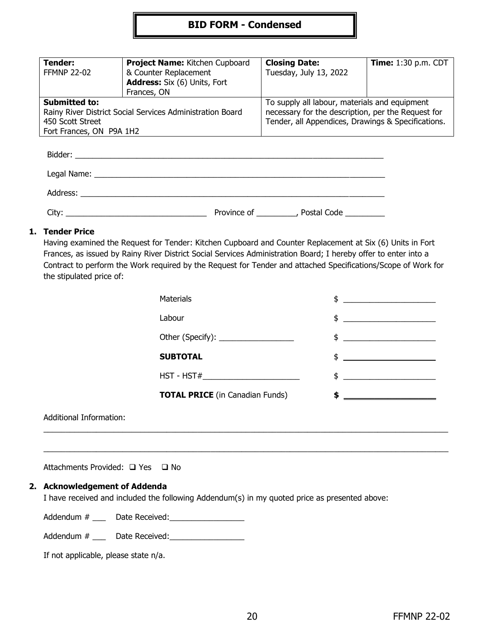#### **BID FORM - Condensed**

| Tender:<br><b>FFMNP 22-02</b>                             | Project Name: Kitchen Cupboard<br>& Counter Replacement | <b>Closing Date:</b><br>Tuesday, July 13, 2022     | <b>Time:</b> 1:30 p.m. CDT |
|-----------------------------------------------------------|---------------------------------------------------------|----------------------------------------------------|----------------------------|
|                                                           | <b>Address:</b> Six (6) Units, Fort                     |                                                    |                            |
|                                                           | Frances, ON                                             |                                                    |                            |
| <b>Submitted to:</b>                                      |                                                         | To supply all labour, materials and equipment      |                            |
| Rainy River District Social Services Administration Board |                                                         | necessary for the description, per the Request for |                            |
| 450 Scott Street                                          |                                                         | Tender, all Appendices, Drawings & Specifications. |                            |
| Fort Frances, ON P9A 1H2                                  |                                                         |                                                    |                            |

| Address: Analysis and the state of the state of the state of the state of the state of the state of the state of the state of the state of the state of the state of the state of the state of the state of the state of the s |             |             |  |
|--------------------------------------------------------------------------------------------------------------------------------------------------------------------------------------------------------------------------------|-------------|-------------|--|
| City:                                                                                                                                                                                                                          | Province of | Postal Code |  |

#### **1. Tender Price**

Having examined the Request for Tender: Kitchen Cupboard and Counter Replacement at Six (6) Units in Fort Frances, as issued by Rainy River District Social Services Administration Board; I hereby offer to enter into a Contract to perform the Work required by the Request for Tender and attached Specifications/Scope of Work for the stipulated price of:

\_\_\_\_\_\_\_\_\_\_\_\_\_\_\_\_\_\_\_\_\_\_\_\_\_\_\_\_\_\_\_\_\_\_\_\_\_\_\_\_\_\_\_\_\_\_\_\_\_\_\_\_\_\_\_\_\_\_\_\_\_\_\_\_\_\_\_\_\_\_\_\_\_\_\_\_\_\_\_\_\_\_\_\_\_\_\_\_\_\_\_\_

| <b>Materials</b>                       | \$                                                                                                                                                                                                                                                                                                                  |
|----------------------------------------|---------------------------------------------------------------------------------------------------------------------------------------------------------------------------------------------------------------------------------------------------------------------------------------------------------------------|
| Labour                                 | \$<br><u> Listen van die Stad van die Stad van die Stad van die Stad van die Stad van die Stad van die Stad van die Stad</u>                                                                                                                                                                                        |
| Other (Specify): _________________     | $\frac{1}{2}$ $\frac{1}{2}$ $\frac{1}{2}$ $\frac{1}{2}$ $\frac{1}{2}$ $\frac{1}{2}$ $\frac{1}{2}$ $\frac{1}{2}$ $\frac{1}{2}$ $\frac{1}{2}$ $\frac{1}{2}$ $\frac{1}{2}$ $\frac{1}{2}$ $\frac{1}{2}$ $\frac{1}{2}$ $\frac{1}{2}$ $\frac{1}{2}$ $\frac{1}{2}$ $\frac{1}{2}$ $\frac{1}{2}$ $\frac{1}{2}$ $\frac{1}{2}$ |
| <b>SUBTOTAL</b>                        | $\frac{1}{2}$                                                                                                                                                                                                                                                                                                       |
| $HST - HST#$                           | $\frac{1}{2}$ $\frac{1}{2}$ $\frac{1}{2}$ $\frac{1}{2}$ $\frac{1}{2}$ $\frac{1}{2}$ $\frac{1}{2}$ $\frac{1}{2}$ $\frac{1}{2}$ $\frac{1}{2}$ $\frac{1}{2}$ $\frac{1}{2}$ $\frac{1}{2}$ $\frac{1}{2}$ $\frac{1}{2}$ $\frac{1}{2}$ $\frac{1}{2}$ $\frac{1}{2}$ $\frac{1}{2}$ $\frac{1}{2}$ $\frac{1}{2}$ $\frac{1}{2}$ |
| <b>TOTAL PRICE</b> (in Canadian Funds) |                                                                                                                                                                                                                                                                                                                     |
|                                        |                                                                                                                                                                                                                                                                                                                     |

 $\_$  ,  $\_$  ,  $\_$  ,  $\_$  ,  $\_$  ,  $\_$  ,  $\_$  ,  $\_$  ,  $\_$  ,  $\_$  ,  $\_$  ,  $\_$  ,  $\_$  ,  $\_$  ,  $\_$  ,  $\_$  ,  $\_$  ,  $\_$  ,  $\_$  ,  $\_$  ,  $\_$  ,  $\_$  ,  $\_$  ,  $\_$  ,  $\_$  ,  $\_$  ,  $\_$  ,  $\_$  ,  $\_$  ,  $\_$  ,  $\_$  ,  $\_$  ,  $\_$  ,  $\_$  ,  $\_$  ,  $\_$  ,  $\_$  ,

Additional Information:

Attachments Provided: □ Yes □ No

#### **2. Acknowledgement of Addenda**

I have received and included the following Addendum(s) in my quoted price as presented above:

Addendum # \_\_\_ Date Received:\_\_\_\_\_\_\_\_\_\_\_\_\_\_\_\_\_

Addendum # \_\_\_\_\_\_ Date Received:

If not applicable, please state n/a.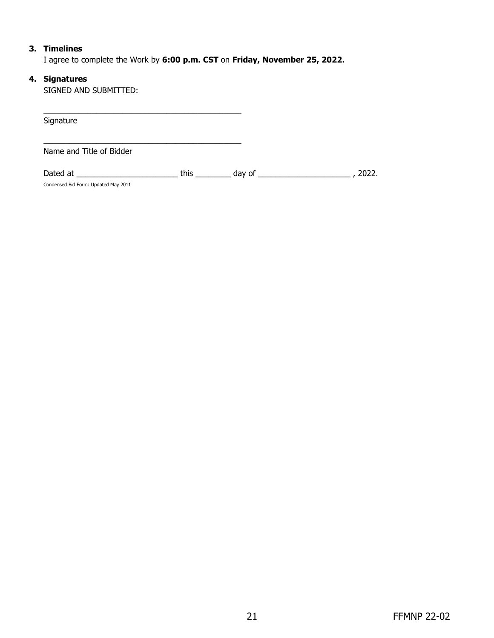#### **3. Timelines**

I agree to complete the Work by **6:00 p.m. CST** on **Friday, November 25, 2022.**

#### **4. Signatures**

SIGNED AND SUBMITTED:

| Signature                                        |      |        |       |
|--------------------------------------------------|------|--------|-------|
| Name and Title of Bidder                         |      |        |       |
| Dated at<br>Condensed Bid Form: Updated May 2011 | this | day of | 2022. |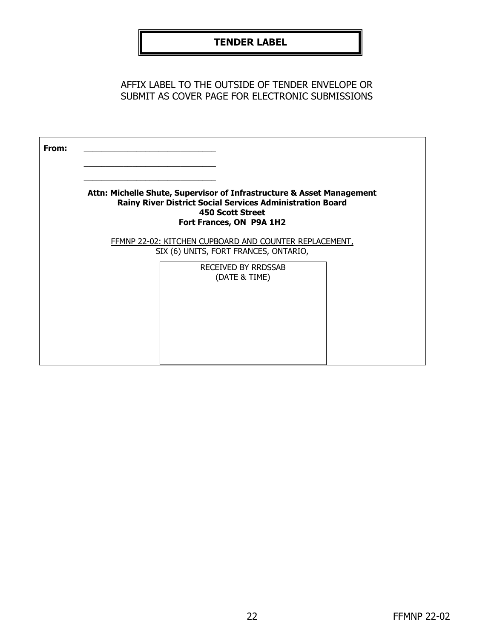### **TENDER LABEL**

AFFIX LABEL TO THE OUTSIDE OF TENDER ENVELOPE OR SUBMIT AS COVER PAGE FOR ELECTRONIC SUBMISSIONS

| From: |                                                                                                                                                                                                  |  |
|-------|--------------------------------------------------------------------------------------------------------------------------------------------------------------------------------------------------|--|
|       | Attn: Michelle Shute, Supervisor of Infrastructure & Asset Management<br><b>Rainy River District Social Services Administration Board</b><br><b>450 Scott Street</b><br>Fort Frances, ON P9A 1H2 |  |
|       | FFMNP 22-02: KITCHEN CUPBOARD AND COUNTER REPLACEMENT,<br>SIX (6) UNITS, FORT FRANCES, ONTARIO,<br><b>RECEIVED BY RRDSSAB</b><br>(DATE & TIME)                                                   |  |
|       |                                                                                                                                                                                                  |  |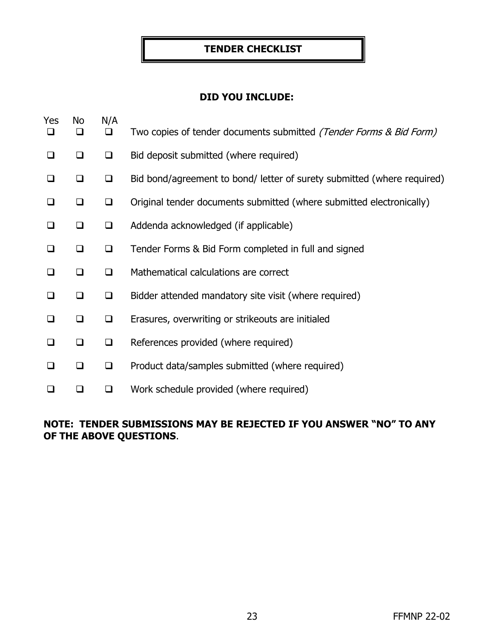#### **TENDER CHECKLIST**

#### **DID YOU INCLUDE:**

| Yes<br>⊔ | No<br>□ | N/A<br>$\Box$ | Two copies of tender documents submitted (Tender Forms & Bid Form)      |
|----------|---------|---------------|-------------------------------------------------------------------------|
| $\Box$   | ❏       | $\Box$        | Bid deposit submitted (where required)                                  |
| ⊔        | $\Box$  | $\Box$        | Bid bond/agreement to bond/ letter of surety submitted (where required) |
| ⊔        | $\Box$  | $\Box$        | Original tender documents submitted (where submitted electronically)    |
| □        | □       | ❏             | Addenda acknowledged (if applicable)                                    |
| ❏        | ❏       | $\Box$        | Tender Forms & Bid Form completed in full and signed                    |
| ❏        | □       | ❏             | Mathematical calculations are correct                                   |
| ❏        | ◻       | ❏             | Bidder attended mandatory site visit (where required)                   |
| $\Box$   | ◻       | $\Box$        | Erasures, overwriting or strikeouts are initialed                       |
| ❏        | ❏       | ❏             | References provided (where required)                                    |
| ❏        | ◻       | $\Box$        | Product data/samples submitted (where required)                         |
|          |         | ❏             | Work schedule provided (where required)                                 |

### **NOTE: TENDER SUBMISSIONS MAY BE REJECTED IF YOU ANSWER "NO" TO ANY OF THE ABOVE QUESTIONS**.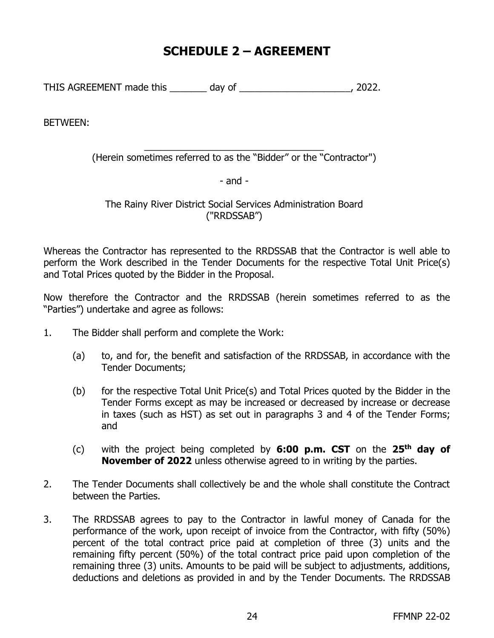### **SCHEDULE 2 – AGREEMENT**

THIS AGREEMENT made this \_\_\_\_\_\_\_ day of \_\_\_\_\_\_\_\_\_\_\_\_\_\_\_\_\_\_\_\_\_, 2022.

BETWEEN:

\_\_\_\_\_\_\_\_\_\_\_\_\_\_\_\_\_\_\_\_\_\_\_\_\_\_\_\_\_\_\_\_\_\_ (Herein sometimes referred to as the "Bidder" or the "Contractor")

- and -

The Rainy River District Social Services Administration Board ("RRDSSAB")

Whereas the Contractor has represented to the RRDSSAB that the Contractor is well able to perform the Work described in the Tender Documents for the respective Total Unit Price(s) and Total Prices quoted by the Bidder in the Proposal.

Now therefore the Contractor and the RRDSSAB (herein sometimes referred to as the "Parties") undertake and agree as follows:

- 1. The Bidder shall perform and complete the Work:
	- (a) to, and for, the benefit and satisfaction of the RRDSSAB, in accordance with the Tender Documents;
	- (b) for the respective Total Unit Price(s) and Total Prices quoted by the Bidder in the Tender Forms except as may be increased or decreased by increase or decrease in taxes (such as HST) as set out in paragraphs 3 and 4 of the Tender Forms; and
	- (c) with the project being completed by **6:00 p.m. CST** on the **25th day of November of 2022** unless otherwise agreed to in writing by the parties.
- 2. The Tender Documents shall collectively be and the whole shall constitute the Contract between the Parties.
- 3. The RRDSSAB agrees to pay to the Contractor in lawful money of Canada for the performance of the work, upon receipt of invoice from the Contractor, with fifty (50%) percent of the total contract price paid at completion of three (3) units and the remaining fifty percent (50%) of the total contract price paid upon completion of the remaining three (3) units. Amounts to be paid will be subject to adjustments, additions, deductions and deletions as provided in and by the Tender Documents. The RRDSSAB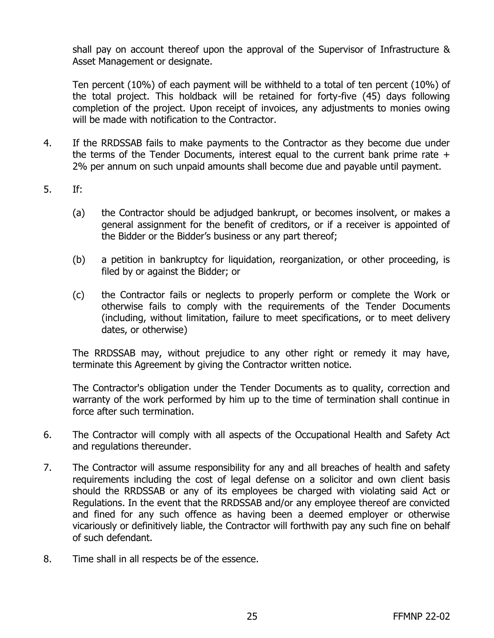shall pay on account thereof upon the approval of the Supervisor of Infrastructure & Asset Management or designate.

Ten percent (10%) of each payment will be withheld to a total of ten percent (10%) of the total project. This holdback will be retained for forty-five (45) days following completion of the project. Upon receipt of invoices, any adjustments to monies owing will be made with notification to the Contractor.

- 4. If the RRDSSAB fails to make payments to the Contractor as they become due under the terms of the Tender Documents, interest equal to the current bank prime rate + 2% per annum on such unpaid amounts shall become due and payable until payment.
- 5. If:
	- (a) the Contractor should be adjudged bankrupt, or becomes insolvent, or makes a general assignment for the benefit of creditors, or if a receiver is appointed of the Bidder or the Bidder's business or any part thereof;
	- (b) a petition in bankruptcy for liquidation, reorganization, or other proceeding, is filed by or against the Bidder; or
	- (c) the Contractor fails or neglects to properly perform or complete the Work or otherwise fails to comply with the requirements of the Tender Documents (including, without limitation, failure to meet specifications, or to meet delivery dates, or otherwise)

The RRDSSAB may, without prejudice to any other right or remedy it may have, terminate this Agreement by giving the Contractor written notice.

The Contractor's obligation under the Tender Documents as to quality, correction and warranty of the work performed by him up to the time of termination shall continue in force after such termination.

- 6. The Contractor will comply with all aspects of the Occupational Health and Safety Act and regulations thereunder.
- 7. The Contractor will assume responsibility for any and all breaches of health and safety requirements including the cost of legal defense on a solicitor and own client basis should the RRDSSAB or any of its employees be charged with violating said Act or Regulations. In the event that the RRDSSAB and/or any employee thereof are convicted and fined for any such offence as having been a deemed employer or otherwise vicariously or definitively liable, the Contractor will forthwith pay any such fine on behalf of such defendant.
- 8. Time shall in all respects be of the essence.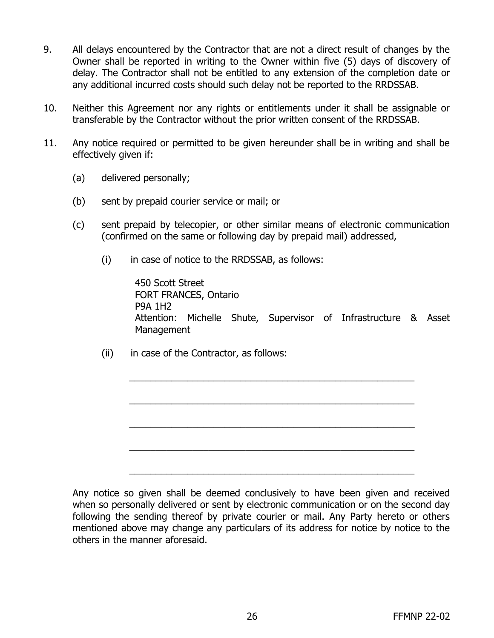- 9. All delays encountered by the Contractor that are not a direct result of changes by the Owner shall be reported in writing to the Owner within five (5) days of discovery of delay. The Contractor shall not be entitled to any extension of the completion date or any additional incurred costs should such delay not be reported to the RRDSSAB.
- 10. Neither this Agreement nor any rights or entitlements under it shall be assignable or transferable by the Contractor without the prior written consent of the RRDSSAB.
- 11. Any notice required or permitted to be given hereunder shall be in writing and shall be effectively given if:
	- (a) delivered personally;
	- (b) sent by prepaid courier service or mail; or
	- (c) sent prepaid by telecopier, or other similar means of electronic communication (confirmed on the same or following day by prepaid mail) addressed,
		- $(i)$  in case of notice to the RRDSSAB, as follows:

450 Scott Street FORT FRANCES, Ontario P9A 1H2 Attention: Michelle Shute, Supervisor of Infrastructure & Asset **Management** 

\_\_\_\_\_\_\_\_\_\_\_\_\_\_\_\_\_\_\_\_\_\_\_\_\_\_\_\_\_\_\_\_\_\_\_\_\_\_\_\_\_\_\_\_\_\_\_\_\_\_\_\_\_\_

\_\_\_\_\_\_\_\_\_\_\_\_\_\_\_\_\_\_\_\_\_\_\_\_\_\_\_\_\_\_\_\_\_\_\_\_\_\_\_\_\_\_\_\_\_\_\_\_\_\_\_\_\_\_

\_\_\_\_\_\_\_\_\_\_\_\_\_\_\_\_\_\_\_\_\_\_\_\_\_\_\_\_\_\_\_\_\_\_\_\_\_\_\_\_\_\_\_\_\_\_\_\_\_\_\_\_\_\_

\_\_\_\_\_\_\_\_\_\_\_\_\_\_\_\_\_\_\_\_\_\_\_\_\_\_\_\_\_\_\_\_\_\_\_\_\_\_\_\_\_\_\_\_\_\_\_\_\_\_\_\_\_\_

\_\_\_\_\_\_\_\_\_\_\_\_\_\_\_\_\_\_\_\_\_\_\_\_\_\_\_\_\_\_\_\_\_\_\_\_\_\_\_\_\_\_\_\_\_\_\_\_\_\_\_\_\_\_

(ii) in case of the Contractor, as follows:

Any notice so given shall be deemed conclusively to have been given and received when so personally delivered or sent by electronic communication or on the second day following the sending thereof by private courier or mail. Any Party hereto or others mentioned above may change any particulars of its address for notice by notice to the others in the manner aforesaid.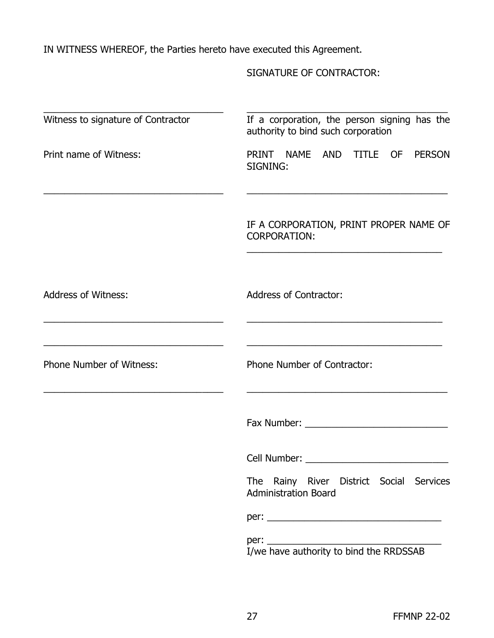IN WITNESS WHEREOF, the Parties hereto have executed this Agreement.

SIGNATURE OF CONTRACTOR:

| Witness to signature of Contractor | If a corporation, the person signing has the<br>authority to bind such corporation                                                                                                                                             |
|------------------------------------|--------------------------------------------------------------------------------------------------------------------------------------------------------------------------------------------------------------------------------|
| Print name of Witness:             | PRINT NAME<br>AND TITLE OF<br><b>PERSON</b><br>SIGNING:                                                                                                                                                                        |
|                                    | IF A CORPORATION, PRINT PROPER NAME OF<br><b>CORPORATION:</b><br><u> 1989 - Johann John Stoff, deutscher Stoffen und der Stoffen und der Stoffen und der Stoffen und der Stoffen un</u>                                        |
| <b>Address of Witness:</b>         | <b>Address of Contractor:</b>                                                                                                                                                                                                  |
| <b>Phone Number of Witness:</b>    | Phone Number of Contractor:<br><u> 1980 - Johann Stoff, amerikansk politiker (d. 1980)</u>                                                                                                                                     |
|                                    |                                                                                                                                                                                                                                |
|                                    | Cell Number: The Contract of the Contract of the Contract of the Contract of the Contract of the Contract of the Contract of the Contract of the Contract of the Contract of the Contract of the Contract of the Contract of t |
|                                    | The Rainy River District Social Services<br><b>Administration Board</b>                                                                                                                                                        |
|                                    |                                                                                                                                                                                                                                |
|                                    | I/we have authority to bind the RRDSSAB                                                                                                                                                                                        |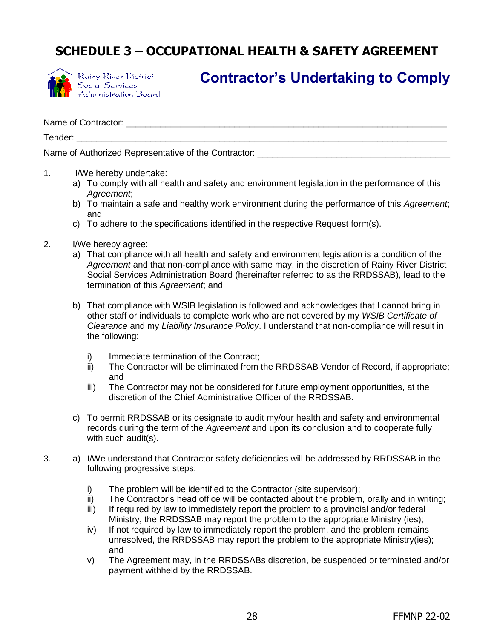# **SCHEDULE 3 – OCCUPATIONAL HEALTH & SAFETY AGREEMENT**



Rainy River District Social Services<br>Administration Board

# **Contractor's Undertaking to Comply**

Name of Contractor:  $\Box$ 

Tender: \_\_\_\_\_\_\_\_\_\_\_\_\_\_\_\_\_\_\_\_\_\_\_\_\_\_\_\_\_\_\_\_\_\_\_\_\_\_\_\_\_\_\_\_\_\_\_\_\_\_\_\_\_\_\_\_\_\_\_\_\_\_\_\_\_\_\_\_\_\_\_\_\_\_\_

Name of Authorized Representative of the Contractor:

- 1. I/We hereby undertake:
	- a) To comply with all health and safety and environment legislation in the performance of this *Agreement*;
	- b) To maintain a safe and healthy work environment during the performance of this *Agreement*; and
	- c) To adhere to the specifications identified in the respective Request form(s).
- 2. I/We hereby agree:
	- a) That compliance with all health and safety and environment legislation is a condition of the *Agreement* and that non-compliance with same may, in the discretion of Rainy River District Social Services Administration Board (hereinafter referred to as the RRDSSAB), lead to the termination of this *Agreement*; and
	- b) That compliance with WSIB legislation is followed and acknowledges that I cannot bring in other staff or individuals to complete work who are not covered by my *WSIB Certificate of Clearance* and my *Liability Insurance Policy*. I understand that non-compliance will result in the following:
		- i) Immediate termination of the Contract;
		- ii) The Contractor will be eliminated from the RRDSSAB Vendor of Record, if appropriate; and
		- iii) The Contractor may not be considered for future employment opportunities, at the discretion of the Chief Administrative Officer of the RRDSSAB.
	- c) To permit RRDSSAB or its designate to audit my/our health and safety and environmental records during the term of the *Agreement* and upon its conclusion and to cooperate fully with such audit(s).
- 3. a) I/We understand that Contractor safety deficiencies will be addressed by RRDSSAB in the following progressive steps:
	- i) The problem will be identified to the Contractor (site supervisor);
	- ii) The Contractor's head office will be contacted about the problem, orally and in writing;
	- iii) If required by law to immediately report the problem to a provincial and/or federal Ministry, the RRDSSAB may report the problem to the appropriate Ministry (ies);
	- iv) If not required by law to immediately report the problem, and the problem remains unresolved, the RRDSSAB may report the problem to the appropriate Ministry(ies); and
	- v) The Agreement may, in the RRDSSABs discretion, be suspended or terminated and/or payment withheld by the RRDSSAB.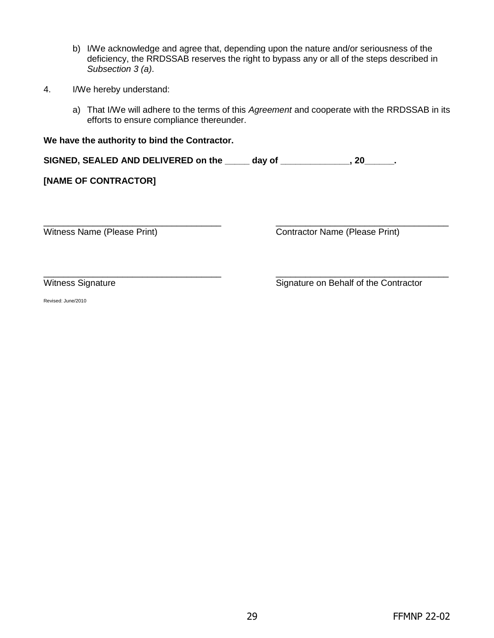- b) I/We acknowledge and agree that, depending upon the nature and/or seriousness of the deficiency, the RRDSSAB reserves the right to bypass any or all of the steps described in *Subsection 3 (a)*.
- 4. I/We hereby understand:
	- a) That I/We will adhere to the terms of this *Agreement* and cooperate with the RRDSSAB in its efforts to ensure compliance thereunder.

| We have the authority to bind the Contractor. |        |  |
|-----------------------------------------------|--------|--|
| SIGNED, SEALED AND DELIVERED on the           | dav of |  |
| [NAME OF CONTRACTOR]                          |        |  |

\_\_\_\_\_\_\_\_\_\_\_\_\_\_\_\_\_\_\_\_\_\_\_\_\_\_\_\_\_\_\_\_\_\_\_\_ \_\_\_\_\_\_\_\_\_\_\_\_\_\_\_\_\_\_\_\_\_\_\_\_\_\_\_\_\_\_\_\_\_\_\_ Witness Name (Please Print) Contractor Name (Please Print)

\_\_\_\_\_\_\_\_\_\_\_\_\_\_\_\_\_\_\_\_\_\_\_\_\_\_\_\_\_\_\_\_\_\_\_\_ \_\_\_\_\_\_\_\_\_\_\_\_\_\_\_\_\_\_\_\_\_\_\_\_\_\_\_\_\_\_\_\_\_\_\_ Witness Signature **Signature Signature on Behalf of the Contractor** 

Revised: June/2010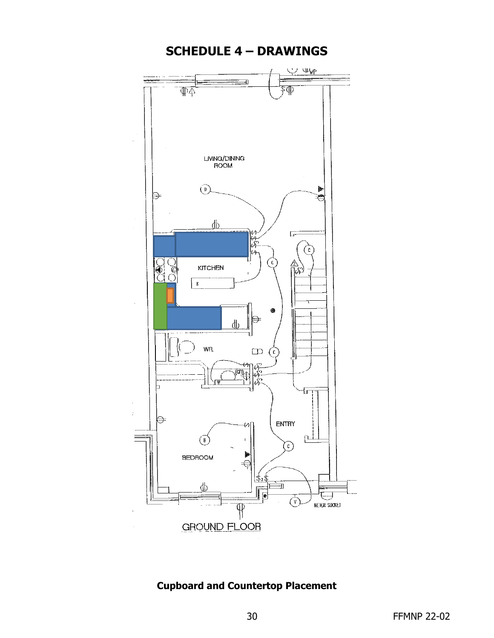

## **Cupboard and Countertop Placement**